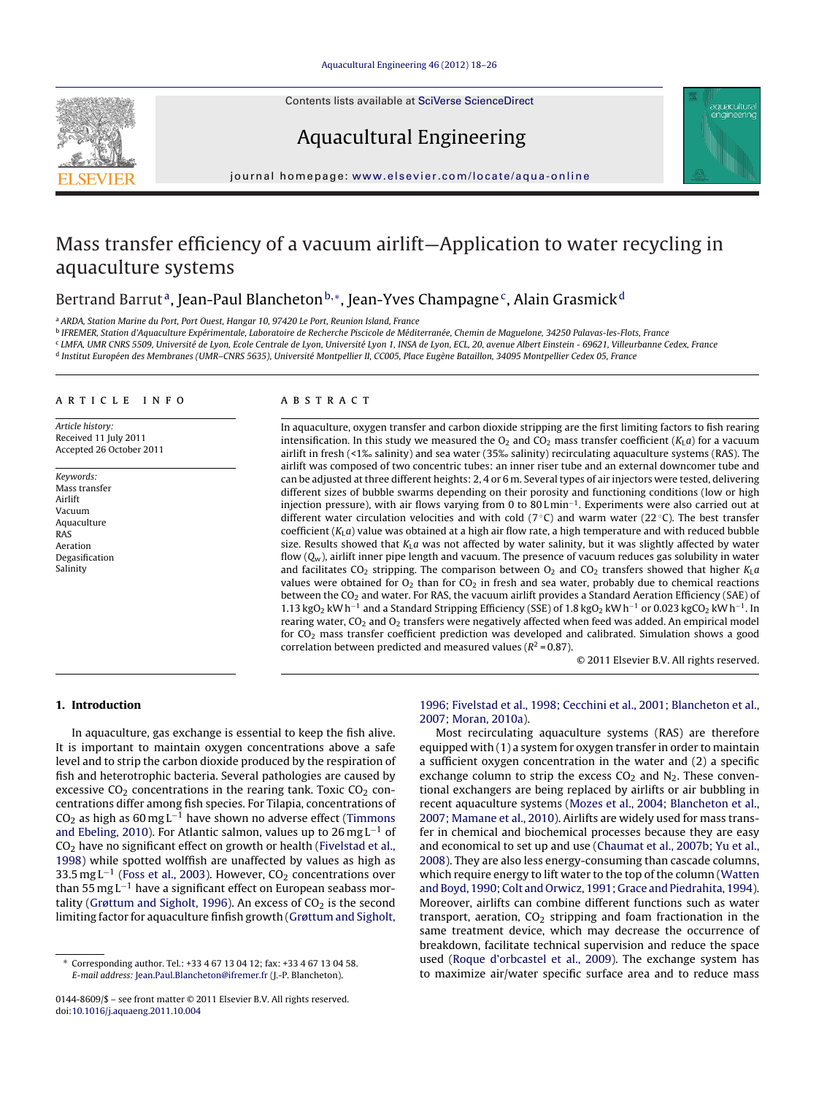Contents lists available at SciVerse [ScienceDirect](http://www.sciencedirect.com/science/journal/01448609)





# Aquacultural Engineering

jou rnal homepage: [www.elsevier.com/locate/aqua-online](http://www.elsevier.com/locate/aqua-online)

# Mass transfer efficiency of a vacuum airlift—Application to water recycling in aquaculture systems

## Bertrand Barrut<sup>a</sup>, Jean-Paul Blancheton<sup>b,</sup>\*, Jean-Yves Champagne<sup>c</sup>, Alain Grasmick<sup>d</sup>

<sup>a</sup> ARDA, Station Marine du Port, Port Ouest, Hangar 10, 97420 Le Port, Reunion Island, France

<sup>b</sup> IFREMER, Station d'Aquaculture Expérimentale, Laboratoire de Recherche Piscicole de Méditerranée, Chemin de Maguelone, 34250 Palavas-les-Flots, France

<sup>c</sup> LMFA, UMR CNRS 5509, Université de Lyon, Ecole Centrale de Lyon, Université Lyon 1, INSA de Lyon, ECL, 20, avenue Albert Einstein - 69621, Villeurbanne Cedex, France

<sup>d</sup> Institut Européen des Membranes (UMR–CNRS 5635), Université Montpellier II, CC005, Place Eugène Bataillon, 34095 Montpellier Cedex 05, France

### a r t i c l e i n f o

Article history: Received 11 July 2011 Accepted 26 October 2011

Keywords: Mass transfer Airlift Vacuum Aquaculture RAS Aeration Degasification Salinity

#### A B S T R A C T

In aquaculture, oxygen transfer and carbon dioxide stripping are the first limiting factors to fish rearing intensification. In this study we measured the  $O<sub>2</sub>$  and CO<sub>2</sub> mass transfer coefficient ( $K<sub>1</sub>a$ ) for a vacuum airlift in fresh (<1‰ salinity) and sea water (35‰ salinity) recirculating aquaculture systems (RAS). The airlift was composed of two concentric tubes: an inner riser tube and an external downcomer tube and can be adjusted at three different heights: 2, 4 or 6 m. Several types of air injectors were tested, delivering different sizes of bubble swarms depending on their porosity and functioning conditions (low or high injection pressure), with air flows varying from 0 to 80 L min−1. Experiments were also carried out at different water circulation velocities and with cold ( $7^{\circ}$ C) and warm water ( $22^{\circ}$ C). The best transfer coefficient  $(K<sub>L</sub>a)$  value was obtained at a high air flow rate, a high temperature and with reduced bubble size. Results showed that  $K<sub>L</sub>a$  was not affected by water salinity, but it was slightly affected by water flow  $(Q_w)$ , airlift inner pipe length and vacuum. The presence of vacuum reduces gas solubility in water and facilitates CO<sub>2</sub> stripping. The comparison between  $O_2$  and CO<sub>2</sub> transfers showed that higher  $K_L a$ values were obtained for  $O_2$  than for  $CO_2$  in fresh and sea water, probably due to chemical reactions between the CO<sub>2</sub> and water. For RAS, the vacuum airlift provides a Standard Aeration Efficiency (SAE) of 1.13 kgO<sub>2</sub> kW h<sup>-1</sup> and a Standard Stripping Efficiency (SSE) of 1.8 kgO<sub>2</sub> kW h<sup>-1</sup> or 0.023 kgCO<sub>2</sub> kW h<sup>-1</sup>. In rearing water, CO<sub>2</sub> and O<sub>2</sub> transfers were negatively affected when feed was added. An empirical model for CO2 mass transfer coefficient prediction was developed and calibrated. Simulation shows a good correlation between predicted and measured values ( $R^2$  = 0.87).

© 2011 Elsevier B.V. All rights reserved.

## **1. Introduction**

In aquaculture, gas exchange is essential to keep the fish alive. It is important to maintain oxygen concentrations above a safe level and to strip the carbon dioxide produced by the respiration of fish and heterotrophic bacteria. Several pathologies are caused by excessive  $CO<sub>2</sub>$  concentrations in the rearing tank. Toxic  $CO<sub>2</sub>$  concentrations differ among fish species. For Tilapia, concentrations of  $CO<sub>2</sub>$  as high as 60 mg L<sup>-1</sup> have shown no adverse effect [\(Timmons](#page-8-0) [and](#page-8-0) [Ebeling,](#page-8-0) [2010\).](#page-8-0) For Atlantic salmon, values up to 26 mg L<sup>-1</sup> of  $CO<sub>2</sub>$  have no significant effect on growth or health [\(Fivelstad](#page-8-0) et [al.,](#page-8-0) [1998\)](#page-8-0) while spotted wolffish are unaffected by values as high as 33.5 mg L<sup>-1</sup> [\(Foss](#page-8-0) et [al.,](#page-8-0) [2003\).](#page-8-0) However, CO<sub>2</sub> concentrations over than 55 mg  $L^{-1}$  have a significant effect on European seabass mor-tality [\(Grøttum](#page-8-0) [and](#page-8-0) [Sigholt,](#page-8-0) [1996\).](#page-8-0) An excess of  $CO<sub>2</sub>$  is the second limiting factor for aquaculture finfish growth ([Grøttum](#page-8-0) [and](#page-8-0) [Sigholt,](#page-8-0)

## [1996;](#page-8-0) [Fivelstad](#page-8-0) et [al.,](#page-8-0) [1998;](#page-8-0) [Cecchini](#page-8-0) et [al.,](#page-8-0) [2001;](#page-8-0) [Blancheton](#page-8-0) et [al.,](#page-8-0) [2007;](#page-8-0) [Moran,](#page-8-0) [2010a\).](#page-8-0)

Most recirculating aquaculture systems (RAS) are therefore equipped with (1) a system for oxygen transfer in order to maintain a sufficient oxygen concentration in the water and (2) a specific exchange column to strip the excess  $CO<sub>2</sub>$  and  $N<sub>2</sub>$ . These conventional exchangers are being replaced by airlifts or air bubbling in recent aquaculture systems [\(Mozes](#page-8-0) et [al.,](#page-8-0) [2004;](#page-8-0) [Blancheton](#page-8-0) et [al.,](#page-8-0) [2007;](#page-8-0) [Mamane](#page-8-0) et [al.,](#page-8-0) [2010\).](#page-8-0) Airlifts are widely used for mass transfer in chemical and biochemical processes because they are easy and economical to set up and use ([Chaumat](#page-8-0) et [al.,](#page-8-0) [2007b;](#page-8-0) [Yu](#page-8-0) et [al.,](#page-8-0) [2008\).](#page-8-0) They are also less energy-consuming than cascade columns, which require energy to lift water to the top of the column [\(Watten](#page-8-0) [and](#page-8-0) Boyd, 1990; Colt and [Orwicz,](#page-8-0) [1991;](#page-8-0) [Grace](#page-8-0) and Piedrahita, [1994\).](#page-8-0) Moreover, airlifts can combine different functions such as water transport, aeration,  $CO<sub>2</sub>$  stripping and foam fractionation in the same treatment device, which may decrease the occurrence of breakdown, facilitate technical supervision and reduce the space used ([Roque](#page-8-0) [d'orbcastel](#page-8-0) et [al.,](#page-8-0) [2009\).](#page-8-0) The exchange system has to maximize air/water specific surface area and to reduce mass

<sup>∗</sup> Corresponding author. Tel.: +33 4 67 13 04 12; fax: +33 4 67 13 04 58. E-mail address: [Jean.Paul.Blancheton@ifremer.fr](mailto:Jean.Paul.Blancheton@ifremer.fr) (J.-P. Blancheton).

<sup>0144-8609/\$</sup> – see front matter © 2011 Elsevier B.V. All rights reserved. doi:[10.1016/j.aquaeng.2011.10.004](dx.doi.org/10.1016/j.aquaeng.2011.10.004)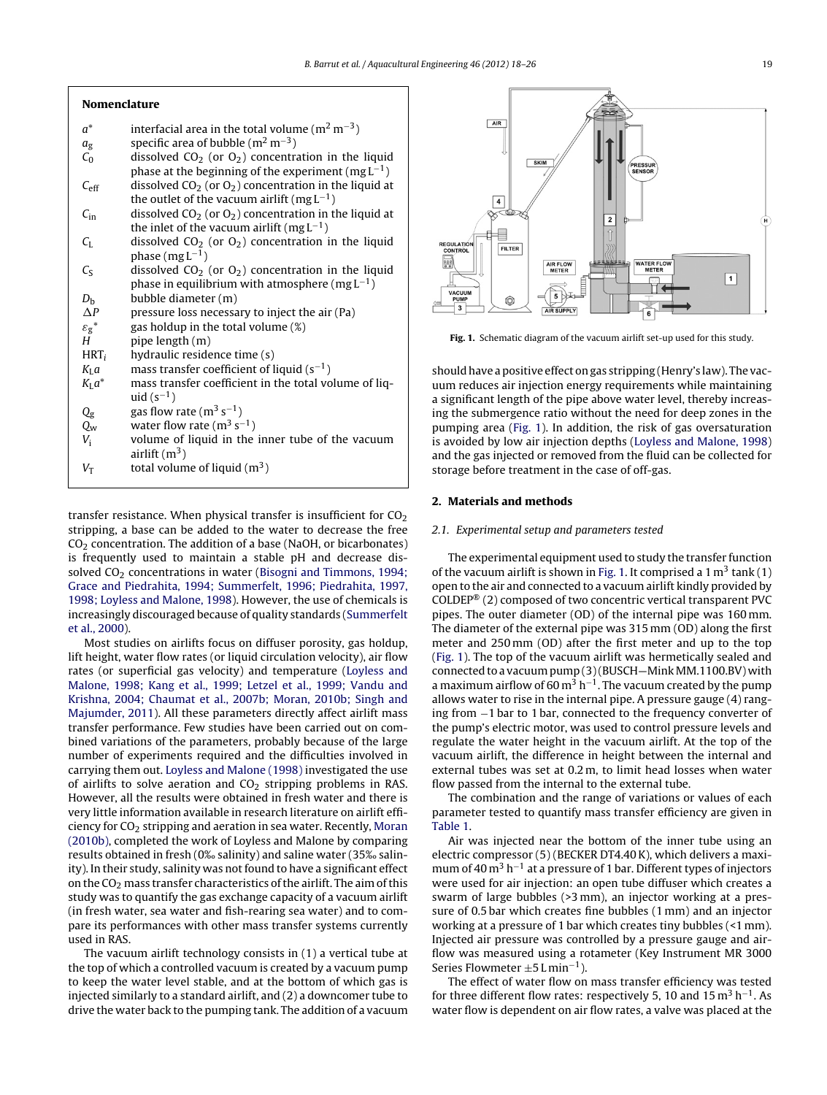## <span id="page-1-0"></span>**Nomenclature**

- $a^*$  interfacial area in the total volume (m<sup>2</sup> m<sup>-3</sup>)
- $a_{\rm g}$  specific area of bubble (m<sup>2</sup> m<sup>-3</sup>)
- $C_0$  dissolved  $CO_2$  (or  $O_2$ ) concentration in the liquid phase at the beginning of the experiment (mg  $L^{-1}$ )
- $C_{\text{eff}}$  dissolved CO<sub>2</sub> (or O<sub>2</sub>) concentration in the liquid at the outlet of the vacuum airlift (mg  $L^{-1}$ )
- $C_{\text{in}}$  dissolved CO<sub>2</sub> (or O<sub>2</sub>) concentration in the liquid at the inlet of the vacuum airlift (mg  $L^{-1}$ )
- $C_{L}$  dissolved CO<sub>2</sub> (or O<sub>2</sub>) concentration in the liquid phase  $(mgL^{-1})$
- $C_5$  dissolved  $CO_2$  (or  $O_2$ ) concentration in the liquid phase in equilibrium with atmosphere (mg  $L^{-1}$ )
- $D_{\rm b}$  bubble diameter (m)
- $\triangle P$ pressure loss necessary to inject the air (Pa)
- $\varepsilon_g^*$  gas holdup in the total volume (%)
- $H$  pipe length  $(m)$
- $HRT_i$  hydraulic residence time (s)
- $K_{\text{L}}a$  mass transfer coefficient of liquid (s<sup>-1</sup>)<br> $K_{\text{L}}a^*$  mass transfer coefficient in the total vo
- mass transfer coefficient in the total volume of liquid  $(s^{-1})$
- $Q_g$  gas flow rate (m<sup>3</sup> s<sup>-1</sup>)
- $Q_w$  water flow rate (m<sup>3</sup> s<sup>-1</sup>)
- $V_i$  volume of liquid in the inner tube of the vacuum airlift  $(m^3)$
- $V_T$  total volume of liquid  $(m^3)$

transfer resistance. When physical transfer is insufficient for  $CO<sub>2</sub>$ stripping, a base can be added to the water to decrease the free  $CO<sub>2</sub>$  concentration. The addition of a base (NaOH, or bicarbonates) is frequently used to maintain a stable pH and decrease dissolved  $CO<sub>2</sub>$  concentrations in water ([Bisogni](#page-8-0) [and](#page-8-0) [Timmons,](#page-8-0) [1994;](#page-8-0) [Grace](#page-8-0) [and](#page-8-0) [Piedrahita,](#page-8-0) [1994;](#page-8-0) [Summerfelt,](#page-8-0) [1996;](#page-8-0) [Piedrahita,](#page-8-0) [1997,](#page-8-0) [1998;](#page-8-0) [Loyless](#page-8-0) [and](#page-8-0) [Malone,](#page-8-0) [1998\).](#page-8-0) However, the use of chemicals is increasingly discouraged because of quality standards [\(Summerfelt](#page-8-0) et [al.,](#page-8-0) [2000\).](#page-8-0)

Most studies on airlifts focus on diffuser porosity, gas holdup, lift height, water flow rates (or liquid circulation velocity), air flow rates (or superficial gas velocity) and temperature ([Loyless](#page-8-0) [and](#page-8-0) [Malone,](#page-8-0) [1998;](#page-8-0) [Kang](#page-8-0) et [al.,](#page-8-0) [1999;](#page-8-0) [Letzel](#page-8-0) et [al.,](#page-8-0) [1999;](#page-8-0) [Vandu](#page-8-0) [and](#page-8-0) [Krishna,](#page-8-0) [2004;](#page-8-0) [Chaumat](#page-8-0) et [al.,](#page-8-0) [2007b;](#page-8-0) [Moran,](#page-8-0) [2010b;](#page-8-0) [Singh](#page-8-0) [and](#page-8-0) [Majumder,](#page-8-0) [2011\).](#page-8-0) All these parameters directly affect airlift mass transfer performance. Few studies have been carried out on combined variations of the parameters, probably because of the large number of experiments required and the difficulties involved in carrying them out. [Loyless](#page-8-0) [and](#page-8-0) [Malone](#page-8-0) [\(1998\)](#page-8-0) investigated the use of airlifts to solve aeration and  $CO<sub>2</sub>$  stripping problems in RAS. However, all the results were obtained in fresh water and there is very little information available in research literature on airlift efficiency for  $CO<sub>2</sub>$  stripping and aeration in sea water. Recently, [Moran](#page-8-0) [\(2010b\),](#page-8-0) completed the work of Loyless and Malone by comparing results obtained in fresh (0‰ salinity) and saline water (35‰ salinity). In their study, salinity was not found to have a significant effect on the  $CO<sub>2</sub>$  mass transfer characteristics of the airlift. The aim of this study was to quantify the gas exchange capacity of a vacuum airlift (in fresh water, sea water and fish-rearing sea water) and to compare its performances with other mass transfer systems currently used in RAS.

The vacuum airlift technology consists in (1) a vertical tube at the top of which a controlled vacuum is created by a vacuum pump to keep the water level stable, and at the bottom of which gas is injected similarly to a standard airlift, and (2) a downcomer tube to drive the water back to the pumping tank. The addition of a vacuum



**Fig. 1.** Schematic diagram of the vacuum airlift set-up used for this study.

should have a positive effect on gas stripping (Henry's law). The vacuum reduces air injection energy requirements while maintaining a significant length of the pipe above water level, thereby increasing the submergence ratio without the need for deep zones in the pumping area (Fig. 1). In addition, the risk of gas oversaturation is avoided by low air injection depths [\(Loyless](#page-8-0) [and](#page-8-0) [Malone,](#page-8-0) [1998\)](#page-8-0) and the gas injected or removed from the fluid can be collected for storage before treatment in the case of off-gas.

### **2. Materials and methods**

#### 2.1. Experimental setup and parameters tested

The experimental equipment used to study the transfer function of the vacuum airlift is shown in Fig. 1. It comprised a  $1 \text{ m}^3$  tank (1) open to the air and connected to a vacuum airlift kindly provided by COLDEP® (2) composed of two concentric vertical transparent PVC pipes. The outer diameter (OD) of the internal pipe was 160 mm. The diameter of the external pipe was 315 mm (OD) along the first meter and 250 mm (OD) after the first meter and up to the top (Fig. 1). The top of the vacuum airlift was hermetically sealed and connected to a vacuum pump (3)(BUSCH-Mink MM.1100.BV) with a maximum airflow of 60 m<sup>3</sup> h<sup>-1</sup>. The vacuum created by the pump allows water to rise in the internal pipe. A pressure gauge (4) ranging from −1 bar to 1 bar, connected to the frequency converter of the pump's electric motor, was used to control pressure levels and regulate the water height in the vacuum airlift. At the top of the vacuum airlift, the difference in height between the internal and external tubes was set at 0.2 m, to limit head losses when water flow passed from the internal to the external tube.

The combination and the range of variations or values of each parameter tested to quantify mass transfer efficiency are given in [Table](#page-2-0) 1.

Air was injected near the bottom of the inner tube using an electric compressor (5) (BECKER DT4.40K), which delivers a maximum of 40 m<sup>3</sup> h<sup>-1</sup> at a pressure of 1 bar. Different types of injectors were used for air injection: an open tube diffuser which creates a swarm of large bubbles (>3 mm), an injector working at a pressure of 0.5 bar which creates fine bubbles (1 mm) and an injector working at a pressure of 1 bar which creates tiny bubbles (<1 mm). Injected air pressure was controlled by a pressure gauge and airflow was measured using a rotameter (Key Instrument MR 3000 Series Flowmeter  $±5$  L min<sup>-1</sup>).

The effect of water flow on mass transfer efficiency was tested for three different flow rates: respectively 5, 10 and  $15 \text{ m}^3 \text{ h}^{-1}$ . As water flow is dependent on air flow rates, a valve was placed at the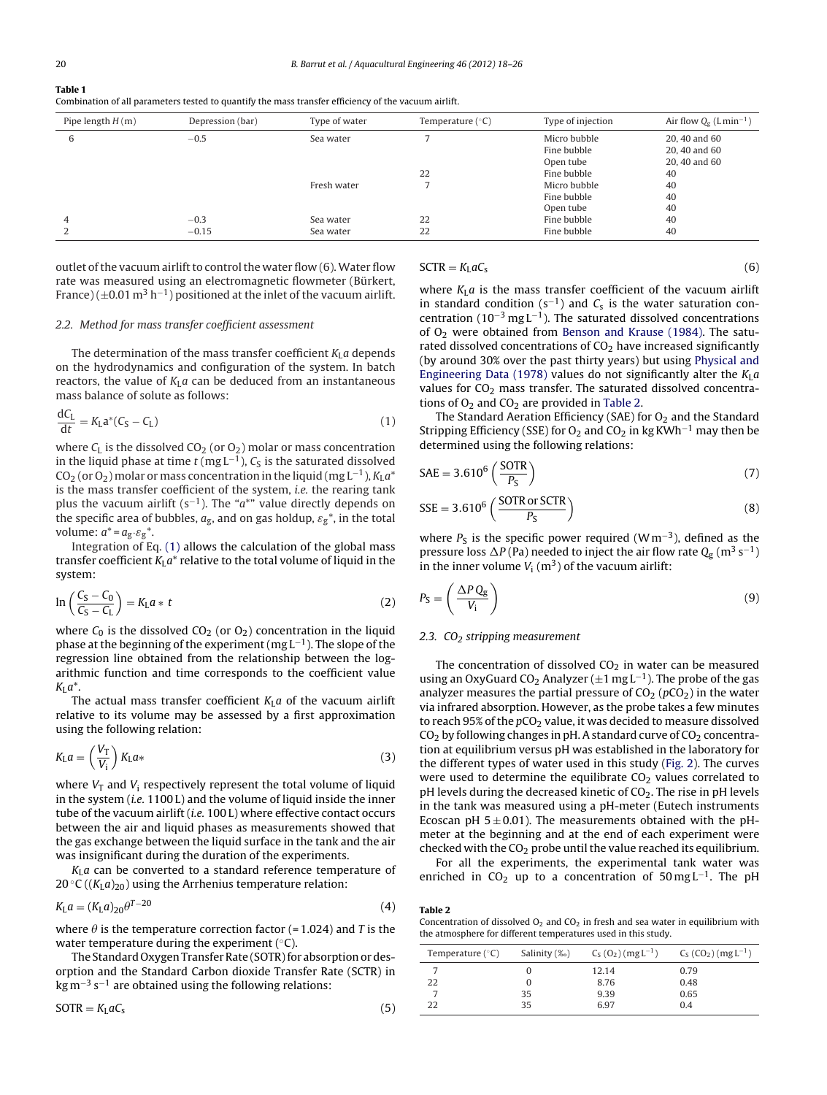| Table 1<br>Combination of all parameters tested to quantify the mass transfer efficiency of the vacuum airlift. |                  |               |                    |  |
|-----------------------------------------------------------------------------------------------------------------|------------------|---------------|--------------------|--|
| Pipe length $H(m)$                                                                                              | Depression (bar) | Type of water | Temperature $(°C)$ |  |
|                                                                                                                 | $-0.5$           | Sea water     |                    |  |

| Pipe length $H(m)$ | Depression (bar) | Type of water | Temperature $(^{\circ}C)$ | Type of injection | Air flow $Q_{\sigma}$ (Lmin <sup>-1</sup> ) |
|--------------------|------------------|---------------|---------------------------|-------------------|---------------------------------------------|
| 6                  | $-0.5$           | Sea water     |                           | Micro bubble      | 20, 40 and 60                               |
|                    |                  |               |                           | Fine bubble       | 20, 40 and 60                               |
|                    |                  |               |                           | Open tube         | 20, 40 and 60                               |
|                    |                  |               | 22                        | Fine bubble       | 40                                          |
|                    |                  | Fresh water   |                           | Micro bubble      | 40                                          |
|                    |                  |               |                           | Fine bubble       | 40                                          |
|                    |                  |               |                           | Open tube         | 40                                          |
| 4                  | $-0.3$           | Sea water     | 22                        | Fine bubble       | 40                                          |
|                    | $-0.15$          | Sea water     | 22                        | Fine bubble       | 40                                          |

outlet of the vacuum airlift to control the water flow  $(6)$ . Water flow rate was measured using an electromagnetic flowmeter (Bürkert, France) ( $\pm$ 0.01 m<sup>3</sup> h<sup>-1</sup>) positioned at the inlet of the vacuum airlift.

#### 2.2. Method for mass transfer coefficient assessment

The determination of the mass transfer coefficient  $K<sub>L</sub>a$  depends on the hydrodynamics and configuration of the system. In batch reactors, the value of  $K<sub>L</sub>a$  can be deduced from an instantaneous mass balance of solute as follows:

$$
\frac{dC_L}{dt} = K_L a^*(C_S - C_L) \tag{1}
$$

where  $C_L$  is the dissolved  $CO_2$  (or  $O_2$ ) molar or mass concentration in the liquid phase at time  $t$  (mg  $L^{-1}$ ),  $C_S$  is the saturated dissolved CO<sub>2</sub> (or O<sub>2</sub>) molar or mass concentration in the liquid (mg L<sup>-1</sup>), K<sub>L</sub> $a^*$ is the mass transfer coefficient of the system, *i.e.* the rearing tank plus the vacuum airlift (s<sup>-1</sup>). The " $a^{*}$ " value directly depends on the specific area of bubbles,  $a_{\rm g}$ , and on gas holdup,  $\varepsilon_{\rm g}^*$ , in the total volume:  $a^* = a_g \cdot \varepsilon_g^*$ .

Integration of Eq. (1) allows the calculation of the global mass transfer coefficient  $K<sub>L</sub>a<sup>*</sup>$  relative to the total volume of liquid in the system:

$$
\ln\left(\frac{C_{\rm S}-C_0}{C_{\rm S}-C_{\rm L}}\right)=K_{\rm L}a*t\tag{2}
$$

where  $C_0$  is the dissolved  $CO_2$  (or  $O_2$ ) concentration in the liquid phase at the beginning of the experiment (mg L−1). The slope of the regression line obtained from the relationship between the logarithmic function and time corresponds to the coefficient value  $K_{L}a^{*}$ .

The actual mass transfer coefficient  $K<sub>L</sub> a$  of the vacuum airlift relative to its volume may be assessed by a first approximation using the following relation:

$$
K_{\rm L}a = \left(\frac{V_{\rm T}}{V_{\rm i}}\right)K_{\rm L}a*
$$
\n(3)

where  $V_T$  and  $V_i$  respectively represent the total volume of liquid in the system (i.e. 1100 L) and the volume of liquid inside the inner tube of the vacuum airlift (i.e. 100 L) where effective contact occurs between the air and liquid phases as measurements showed that the gas exchange between the liquid surface in the tank and the air was insignificant during the duration of the experiments.

 $K_{\text{L}}a$  can be converted to a standard reference temperature of 20 °C ( $(K<sub>L</sub>a)<sub>20</sub>$ ) using the Arrhenius temperature relation:

$$
K_{\rm L}a = (K_{\rm L}a)_{20}\theta^{T-20} \tag{4}
$$

where  $\theta$  is the temperature correction factor (= 1.024) and T is the water temperature during the experiment  $(°C)$ .

The Standard Oxygen Transfer Rate (SOTR) for absorption or desorption and the Standard Carbon dioxide Transfer Rate (SCTR) in  $kg m<sup>-3</sup> s<sup>-1</sup>$  are obtained using the following relations:

$$
SOTR = KLaCs
$$
 (5)

$$
SCTR = KL aCs
$$
 (6)

where  $K_{\text{L}}a$  is the mass transfer coefficient of the vacuum airlift in standard condition (s<sup>-1</sup>) and  $C_s$  is the water saturation concentration ( $10^{-3}$  mg L<sup>-1</sup>). The saturated dissolved concentrations of  $O<sub>2</sub>$  were obtained from [Benson](#page-8-0) [and](#page-8-0) [Krause](#page-8-0) [\(1984\).](#page-8-0) The saturated dissolved concentrations of  $CO<sub>2</sub>$  have increased significantly (by around 30% over the past thirty years) but using [Physical](#page-8-0) [and](#page-8-0) [Engineering](#page-8-0) [Data](#page-8-0) [\(1978\)](#page-8-0) values do not significantly alter the  $K_{\text{L}}a$ values for  $CO<sub>2</sub>$  mass transfer. The saturated dissolved concentrations of  $O_2$  and  $CO_2$  are provided in Table 2.

The Standard Aeration Efficiency (SAE) for  $O<sub>2</sub>$  and the Standard Stripping Efficiency (SSE) for O<sub>2</sub> and CO<sub>2</sub> in kg KWh<sup>-1</sup> may then be determined using the following relations:

$$
SAE = 3.610^6 \left(\frac{SOTR}{P_S}\right) \tag{7}
$$

$$
SSE = 3.610^{6} \left( \frac{SOTR \text{ or } SCTR}{P_S} \right)
$$
 (8)

where  $P<sub>S</sub>$  is the specific power required (Wm<sup>-3</sup>), defined as the pressure loss  $\Delta P$  (Pa) needed to inject the air flow rate  $\mathrm{Qg}$  (m<sup>3</sup> s<sup>−1</sup>) in the inner volume  $V_i$  (m<sup>3</sup>) of the vacuum airlift:

$$
P_{\rm S} = \left(\frac{\Delta P Q_{\rm g}}{V_{\rm i}}\right) \tag{9}
$$

#### 2.3.  $CO<sub>2</sub>$  stripping measurement

The concentration of dissolved  $CO<sub>2</sub>$  in water can be measured using an OxyGuard CO<sub>2</sub> Analyzer ( $\pm 1$  mg L<sup>-1</sup>). The probe of the gas analyzer measures the partial pressure of  $CO<sub>2</sub>$  ( $pCO<sub>2</sub>$ ) in the water via infrared absorption. However, as the probe takes a few minutes to reach 95% of the  $pCO<sub>2</sub>$  value, it was decided to measure dissolved  $CO<sub>2</sub>$  by following changes in pH. A standard curve of  $CO<sub>2</sub>$  concentration at equilibrium versus pH was established in the laboratory for the different types of water used in this study ([Fig.](#page-3-0) 2). The curves were used to determine the equilibrate  $CO<sub>2</sub>$  values correlated to pH levels during the decreased kinetic of  $CO<sub>2</sub>$ . The rise in pH levels in the tank was measured using a pH-meter (Eutech instruments Ecoscan pH  $5 \pm 0.01$ ). The measurements obtained with the pHmeter at the beginning and at the end of each experiment were checked with the  $CO<sub>2</sub>$  probe until the value reached its equilibrium.

For all the experiments, the experimental tank water was enriched in CO<sub>2</sub> up to a concentration of 50 mg L<sup>-1</sup>. The pH

| Table 2                                                                                |
|----------------------------------------------------------------------------------------|
| Concentration of dissolved $O_2$ and $CO_2$ in fresh and sea water in equilibrium with |
| the atmosphere for different temperatures used in this study.                          |

| Temperature $(°C)$ | Salinity (%) | $C_S (O_2) (mgL^{-1})$ | $C_S (CO_2) (mgL^{-1})$ |
|--------------------|--------------|------------------------|-------------------------|
|                    |              | 12.14                  | 0.79                    |
| 22                 |              | 8.76                   | 0.48                    |
|                    | 35           | 9.39                   | 0.65                    |
| 22                 | 35           | 697                    | 0.4                     |

<span id="page-2-0"></span>**Table 1**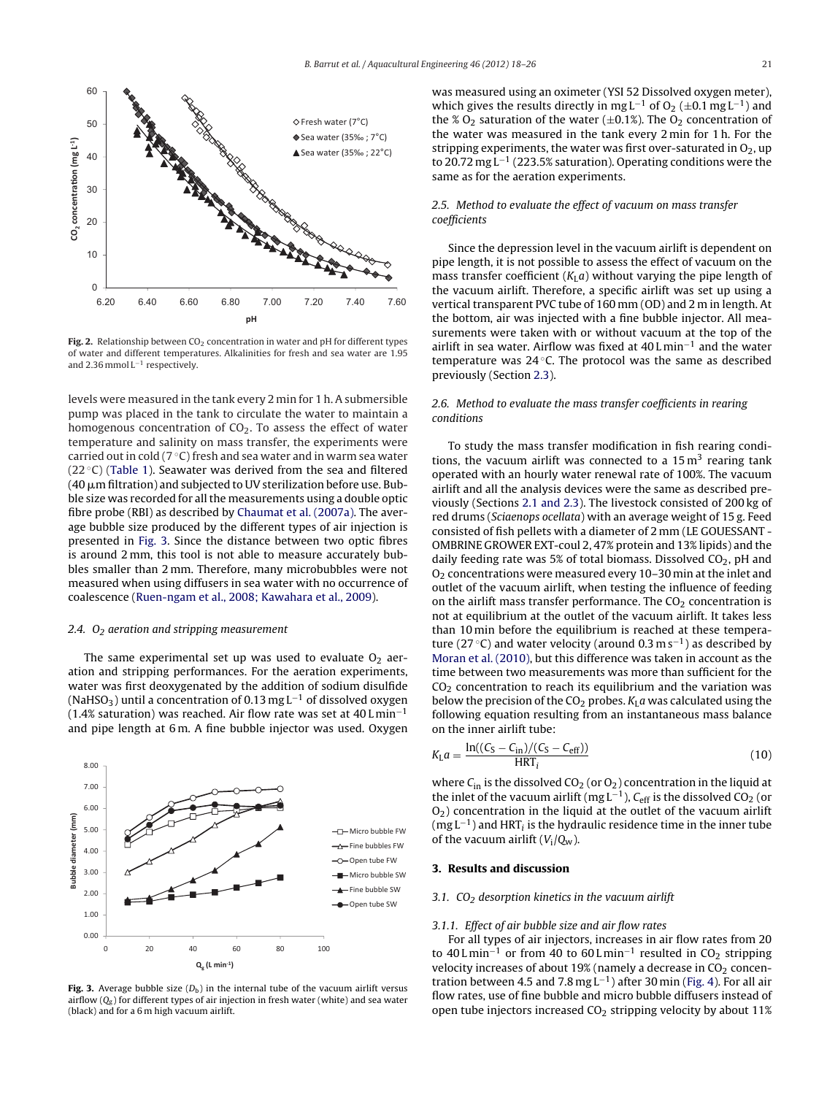<span id="page-3-0"></span>

Fig. 2. Relationship between  $CO<sub>2</sub>$  concentration in water and pH for different types of water and different temperatures. Alkalinities for fresh and sea water are 1.95 and 2.36 mmol L−<sup>1</sup> respectively.

levels were measured in the tank every 2 min for 1 h. A submersible pump was placed in the tank to circulate the water to maintain a homogenous concentration of  $CO<sub>2</sub>$ . To assess the effect of water temperature and salinity on mass transfer, the experiments were carried out in cold ( $7^{\circ}$ C) fresh and sea water and in warm sea water (22 $\degree$ C) [\(Table](#page-2-0) 1). Seawater was derived from the sea and filtered (40  $\mu$ m filtration) and subjected to UV sterilization before use. Bubble size was recorded for all the measurements using a double optic fibre probe (RBI) as described by [Chaumat](#page-8-0) et [al.](#page-8-0) [\(2007a\).](#page-8-0) The average bubble size produced by the different types of air injection is presented in Fig. 3. Since the distance between two optic fibres is around 2 mm, this tool is not able to measure accurately bubbles smaller than 2 mm. Therefore, many microbubbles were not measured when using diffusers in sea water with no occurrence of coalescence [\(Ruen-ngam](#page-8-0) et [al.,](#page-8-0) [2008;](#page-8-0) [Kawahara](#page-8-0) et [al.,](#page-8-0) [2009\).](#page-8-0)

#### 2.4.  $O<sub>2</sub>$  aeration and stripping measurement

The same experimental set up was used to evaluate  $O<sub>2</sub>$  aeration and stripping performances. For the aeration experiments, water was first deoxygenated by the addition of sodium disulfide (NaHSO<sub>3</sub>) until a concentration of 0.13 mg L<sup>-1</sup> of dissolved oxygen (1.4% saturation) was reached. Air flow rate was set at 40 L min<sup>-1</sup> and pipe length at 6 m. A fine bubble injector was used. Oxygen



**Fig. 3.** Average bubble size  $(D_b)$  in the internal tube of the vacuum airlift versus airflow  $(Q_g)$  for different types of air injection in fresh water (white) and sea water (black) and for a 6 m high vacuum airlift.

was measured using an oximeter (YSI 52 Dissolved oxygen meter), which gives the results directly in mg L<sup>-1</sup> of O<sub>2</sub> (±0.1 mg L<sup>-1</sup>) and the % O<sub>2</sub> saturation of the water ( $\pm$ 0.1%). The O<sub>2</sub> concentration of the water was measured in the tank every 2 min for 1 h. For the stripping experiments, the water was first over-saturated in  $O_2$ , up to 20.72 mg L−<sup>1</sup> (223.5% saturation). Operating conditions were the same as for the aeration experiments.

## 2.5. Method to evaluate the effect of vacuum on mass transfer coefficients

Since the depression level in the vacuum airlift is dependent on pipe length, it is not possible to assess the effect of vacuum on the mass transfer coefficient  $(K<sub>L</sub>a)$  without varying the pipe length of the vacuum airlift. Therefore, a specific airlift was set up using a vertical transparent PVC tube of 160 mm (OD) and 2 m in length. At the bottom, air was injected with a fine bubble injector. All measurements were taken with or without vacuum at the top of the airlift in sea water. Airflow was fixed at  $40$  L min<sup>-1</sup> and the water temperature was 24 ℃. The protocol was the same as described previously (Section [2.3\).](#page-2-0)

## 2.6. Method to evaluate the mass transfer coefficients in rearing conditions

To study the mass transfer modification in fish rearing conditions, the vacuum airlift was connected to a  $15 \text{ m}^3$  rearing tank operated with an hourly water renewal rate of 100%. The vacuum airlift and all the analysis devices were the same as described previously (Sections [2.1](#page-1-0) [and](#page-1-0) [2.3\).](#page-1-0) The livestock consisted of 200 kg of red drums (Sciaenops ocellata) with an average weight of 15 g. Feed consisted of fish pellets with a diameter of 2 mm (LE GOUESSANT - OMBRINE GROWER EXT-coul 2, 47% protein and 13% lipids) and the daily feeding rate was 5% of total biomass. Dissolved  $CO<sub>2</sub>$ , pH and O2 concentrations were measured every 10–30 min at the inlet and outlet of the vacuum airlift, when testing the influence of feeding on the airlift mass transfer performance. The  $CO<sub>2</sub>$  concentration is not at equilibrium at the outlet of the vacuum airlift. It takes less than 10 min before the equilibrium is reached at these temperature (27 °C) and water velocity (around 0.3 m s<sup>-1</sup>) as described by [Moran](#page-8-0) et [al.](#page-8-0) [\(2010\),](#page-8-0) but this difference was taken in account as the time between two measurements was more than sufficient for the  $CO<sub>2</sub>$  concentration to reach its equilibrium and the variation was below the precision of the CO<sub>2</sub> probes.  $K_{L}a$  was calculated using the following equation resulting from an instantaneous mass balance on the inner airlift tube:

$$
K_{\rm L}a = \frac{\ln((C_{\rm S}-C_{\rm in})/(C_{\rm S}-C_{\rm eff}))}{\text{HRT}_i} \tag{10}
$$

where  $C_{in}$  is the dissolved  $CO_2$  (or  $O_2$ ) concentration in the liquid at the inlet of the vacuum airlift (mg L<sup>-1</sup>),  $C_{\text{eff}}$  is the dissolved CO<sub>2</sub> (or  $O<sub>2</sub>$ ) concentration in the liquid at the outlet of the vacuum airlift  $(mg L^{-1})$  and HRT<sub>i</sub> is the hydraulic residence time in the inner tube of the vacuum airlift  $(V_i/Q_w)$ .

## **3. Results and discussion**

### 3.1.  $CO<sub>2</sub>$  desorption kinetics in the vacuum airlift

#### 3.1.1. Effect of air bubble size and air flow rates

For all types of air injectors, increases in air flow rates from 20 to 40 L min<sup>-1</sup> or from 40 to 60 L min<sup>-1</sup> resulted in CO<sub>2</sub> stripping velocity increases of about 19% (namely a decrease in  $CO<sub>2</sub>$  concen-tration between 4.5 and 7.8 mg L<sup>-1</sup>) after 30 min [\(Fig.](#page-4-0) 4). For all air flow rates, use of fine bubble and micro bubble diffusers instead of open tube injectors increased  $CO<sub>2</sub>$  stripping velocity by about 11%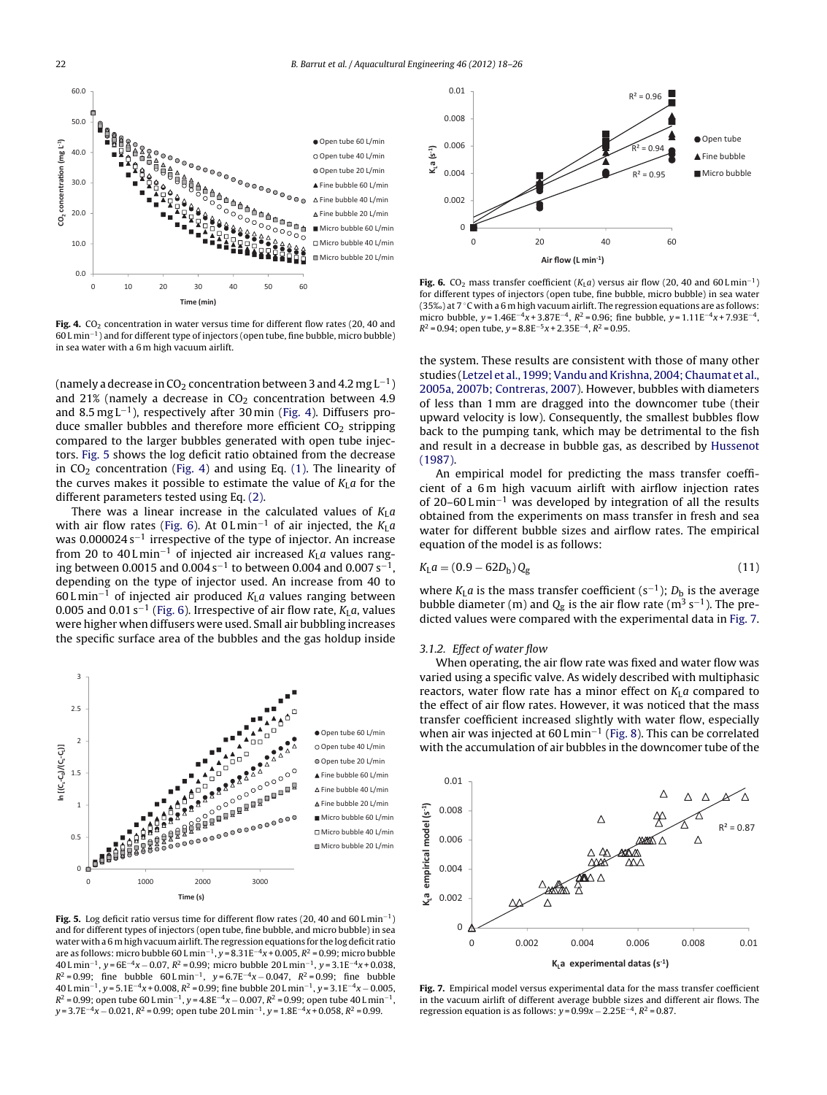<span id="page-4-0"></span>

Fig. 4. CO<sub>2</sub> concentration in water versus time for different flow rates (20, 40 and 60 L min−1) and for different type of injectors (open tube, fine bubble, micro bubble) in sea water with a 6 m high vacuum airlift.

(namely a decrease in CO<sub>2</sub> concentration between 3 and 4.2 mg  $L^{-1}$ ) and 21% (namely a decrease in  $CO<sub>2</sub>$  concentration between 4.9 and 8.5 mg L−1), respectively after 30 min (Fig. 4). Diffusers produce smaller bubbles and therefore more efficient  $CO<sub>2</sub>$  stripping compared to the larger bubbles generated with open tube injectors. Fig. 5 shows the log deficit ratio obtained from the decrease in  $CO<sub>2</sub>$  concentration (Fig. 4) and using Eq. [\(1\).](#page-2-0) The linearity of the curves makes it possible to estimate the value of  $K<sub>L</sub>a$  for the different parameters tested using Eq. [\(2\).](#page-2-0)

There was a linear increase in the calculated values of  $K_{\text{L}}a$ with air flow rates (Fig. 6). At 0 L min<sup>-1</sup> of air injected, the  $K_{\rm L}a$ was  $0.000024 s^{-1}$  irrespective of the type of injector. An increase from 20 to 40 L min<sup>-1</sup> of injected air increased  $K_{\rm L}a$  values ranging between 0.0015 and 0.004 s<sup>-1</sup> to between 0.004 and 0.007 s<sup>-1</sup>, depending on the type of injector used. An increase from 40 to 60 L min<sup>-1</sup> of injected air produced  $K_{\text{L}}a$  values ranging between 0.005 and 0.01 s<sup>-1</sup> (Fig. 6). Irrespective of air flow rate,  $K_{\text{L}}a$ , values were higher when diffusers were used. Small air bubbling increases the specific surface area of the bubbles and the gas holdup inside



**Fig. 5.** Log deficit ratio versus time for different flow rates (20, 40 and 60 L min−1) and for different types of injectors (open tube, fine bubble, and micro bubble) in sea water with a 6 mhigh vacuumairlift. The regression equations for the log deficit ratio are as follows: micro bubble 60 L min<sup>-1</sup>, y = 8.31E<sup>-4</sup>x + 0.005,  $R^2$  = 0.99; micro bubble 40 L min<sup>-1</sup>, y = 6E<sup>-4</sup>x – 0.07, R<sup>2</sup> = 0.99; micro bubble 20 L min<sup>-1</sup>, y = 3.1E<sup>-4</sup>x + 0.038,  $R^2 = 0.99$ ; fine bubble 60 L min<sup>-1</sup>, y = 6.7E<sup>-4</sup>x − 0.047,  $R^2 = 0.99$ ; fine bubble 40 L min<sup>-1</sup>, y = 5.1E<sup>-4</sup>x + 0.008,  $R^2$  = 0.99; fine bubble 20 L min<sup>-1</sup>, y = 3.1E<sup>-4</sup>x − 0.005,  $R^2 = 0.99$ ; open tube 60 L min<sup>-1</sup>, y = 4.8E<sup>-4</sup>x – 0.007,  $R^2 = 0.99$ ; open tube 40 L min<sup>-1</sup>,  $y = 3.7E^{-4}x - 0.021$ ,  $R^2 = 0.99$ ; open tube 20 L min<sup>-1</sup>,  $y = 1.8E^{-4}x + 0.058$ ,  $R^2 = 0.99$ .



**Fig. 6.** CO<sub>2</sub> mass transfer coefficient ( $K<sub>L</sub>a$ ) versus air flow (20, 40 and 60 L min<sup>-1</sup>) for different types of injectors (open tube, fine bubble, micro bubble) in sea water (35‰) at 7 ◦C with a 6 m high vacuum airlift. The regression equations are as follows: micro bubble, y =  $1.46E^{-4}x + 3.87E^{-4}$ ,  $R^2 = 0.96$ ; fine bubble, y =  $1.11E^{-4}x + 7.93E^{-4}$ ,  $R^2 = 0.94$ ; open tube,  $y = 8.8E^{-5}x + 2.35E^{-4}$ ,  $R^2 = 0.95$ .

the system. These results are consistent with those of many other studies ([Letzel](#page-8-0) et [al.,](#page-8-0) 1999; Vandu and Krishna, 2004; Chaumat et al., [2005a,](#page-8-0) [2007b;](#page-8-0) [Contreras,](#page-8-0) [2007\).](#page-8-0) However, bubbles with diameters of less than 1 mm are dragged into the downcomer tube (their upward velocity is low). Consequently, the smallest bubbles flow back to the pumping tank, which may be detrimental to the fish and result in a decrease in bubble gas, as described by [Hussenot](#page-8-0) [\(1987\).](#page-8-0)

An empirical model for predicting the mass transfer coefficient of a 6m high vacuum airlift with airflow injection rates of 20–60 L min−<sup>1</sup> was developed by integration of all the results obtained from the experiments on mass transfer in fresh and sea water for different bubble sizes and airflow rates. The empirical equation of the model is as follows:

$$
K_{\rm L}a = (0.9 - 62D_{\rm b})Q_{\rm g} \tag{11}
$$

where  $K_{\text{L}}a$  is the mass transfer coefficient (s<sup>-1</sup>);  $D_{\text{b}}$  is the average bubble diameter (m) and  $Q<sub>g</sub>$  is the air flow rate (m<sup>3</sup> s<sup>-1</sup>). The predicted values were compared with the experimental data in Fig. 7.

#### 3.1.2. Effect of water flow

When operating, the air flow rate was fixed and water flow was varied using a specific valve. As widely described with multiphasic reactors, water flow rate has a minor effect on  $K<sub>L</sub> a$  compared to the effect of air flow rates. However, it was noticed that the mass transfer coefficient increased slightly with water flow, especially when air was injected at  $60 \text{ L} \text{min}^{-1}$  [\(Fig.](#page-5-0) 8). This can be correlated with the accumulation of air bubbles in the downcomer tube of the



**Fig. 7.** Empirical model versus experimental data for the mass transfer coefficient in the vacuum airlift of different average bubble sizes and different air flows. The regression equation is as follows:  $y = 0.99x - 2.25E^{-4}$ ,  $R^2 = 0.87$ .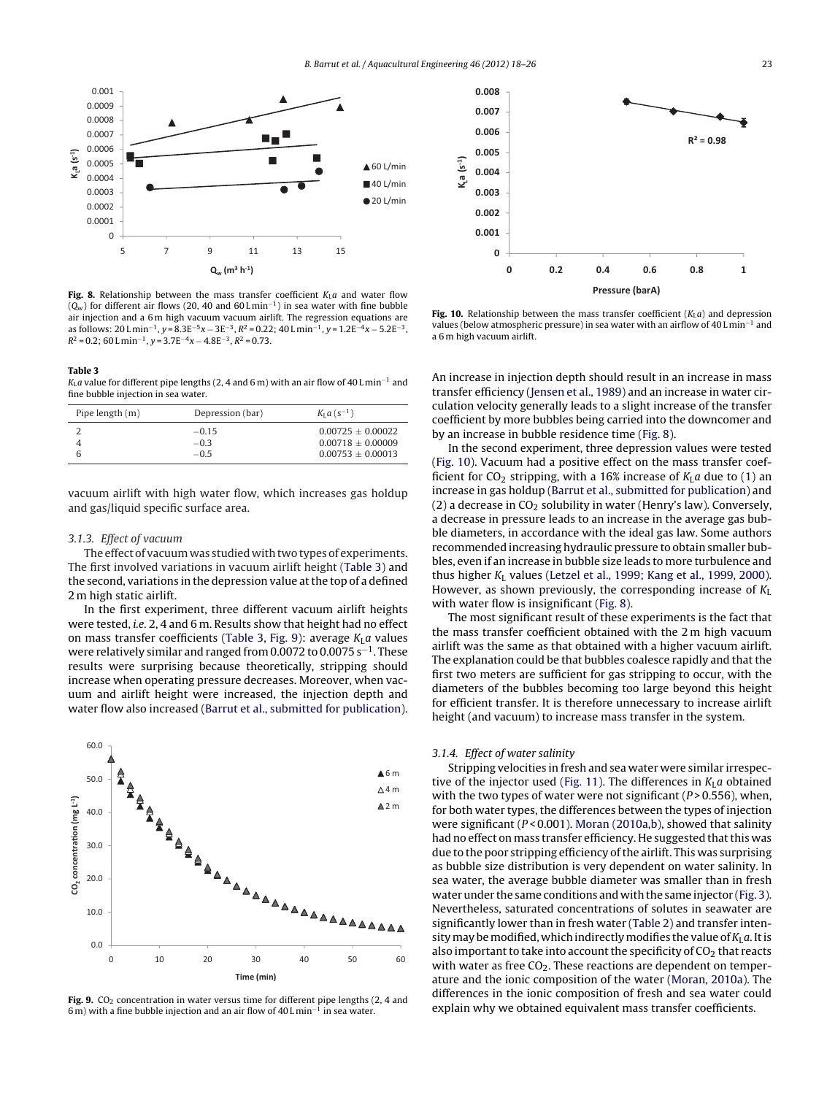<span id="page-5-0"></span>

**Fig. 8.** Relationship between the mass transfer coefficient  $K_1a$  and water flow  $(Q_w)$  for different air flows (20, 40 and 60 L min<sup>-1</sup>) in sea water with fine bubble air injection and a 6 m high vacuum vacuum airlift. The regression equations are as follows: 20 L min<sup>-1</sup>, y =  $8.3E^{-5}x - 3E^{-3}$ ,  $R^2 = 0.22$ ; 40 L min<sup>-1</sup>, y =  $1.2E^{-4}x - 5.2E^{-3}$ ,  $R^2 = 0.2$ ; 60 L min<sup>-1</sup>, y = 3.7E<sup>-4</sup>x – 4.8E<sup>-3</sup>,  $R^2 = 0.73$ .

#### **Table 3**

KLa value for different pipe lengths (2, 4 and 6 m) with an air flow of 40 L min<sup>-1</sup> and fine bubble injection in sea water.

| Pipe length (m) | Depression (bar) | $K_{I} a (s^{-1})$    |
|-----------------|------------------|-----------------------|
|                 | $-0.15$          | $0.00725 + 0.00022$   |
|                 | $-0.3$           | $0.00718 + 0.00009$   |
|                 | $-0.5$           | $0.00753 \pm 0.00013$ |

vacuum airlift with high water flow, which increases gas holdup and gas/liquid specific surface area.

#### 3.1.3. Effect of vacuum

The effect of vacuum was studied with two types of experiments. The first involved variations in vacuum airlift height (Table 3) and the second, variations in the depression value at the top of a defined 2 m high static airlift.

In the first experiment, three different vacuum airlift heights were tested, i.e. 2, 4 and 6 m. Results show that height had no effect on mass transfer coefficients (Table 3, Fig. 9): average  $K<sub>L</sub>a$  values were relatively similar and ranged from 0.0072 to 0.0075 s<sup>-1</sup>. These results were surprising because theoretically, stripping should increase when operating pressure decreases. Moreover, when vacuum and airlift height were increased, the injection depth and water flow also increased [\(Barrut](#page-8-0) et [al.,](#page-8-0) [submitted](#page-8-0) [for](#page-8-0) [publication\).](#page-8-0)



Fig. 9. CO<sub>2</sub> concentration in water versus time for different pipe lengths (2, 4 and 6 m) with a fine bubble injection and an air flow of 40 L min−<sup>1</sup> in sea water.



**Fig. 10.** Relationship between the mass transfer coefficient  $(K<sub>L</sub>a)$  and depression values (below atmospheric pressure) in sea water with an airflow of 40 L min−<sup>1</sup> and a 6 m high vacuum airlift.

An increase in injection depth should result in an increase in mass transfer efficiency [\(Jensen](#page-8-0) et [al.,](#page-8-0) [1989\)](#page-8-0) and an increase in water circulation velocity generally leads to a slight increase of the transfer coefficient by more bubbles being carried into the downcomer and by an increase in bubble residence time (Fig. 8).

In the second experiment, three depression values were tested (Fig. 10). Vacuum had a positive effect on the mass transfer coefficient for  $CO_2$  stripping, with a 16% increase of  $K<sub>L</sub>a$  due to (1) an increase in gas holdup ([Barrut](#page-8-0) et [al.,](#page-8-0) [submitted](#page-8-0) [for](#page-8-0) [publication\)](#page-8-0) and (2) a decrease in  $CO<sub>2</sub>$  solubility in water (Henry's law). Conversely, a decrease in pressure leads to an increase in the average gas bubble diameters, in accordance with the ideal gas law. Some authors recommended increasing hydraulic pressure to obtain smaller bubbles, even if an increase in bubble size leads to more turbulence and thus higher  $K_L$  values ([Letzel](#page-8-0) et [al.,](#page-8-0) [1999;](#page-8-0) [Kang](#page-8-0) et al., [1999,](#page-8-0) [2000\).](#page-8-0) However, as shown previously, the corresponding increase of  $K_L$ with water flow is insignificant (Fig. 8).

The most significant result of these experiments is the fact that the mass transfer coefficient obtained with the 2 m high vacuum airlift was the same as that obtained with a higher vacuum airlift. The explanation could be that bubbles coalesce rapidly and that the first two meters are sufficient for gas stripping to occur, with the diameters of the bubbles becoming too large beyond this height for efficient transfer. It is therefore unnecessary to increase airlift height (and vacuum) to increase mass transfer in the system.

#### 3.1.4. Effect of water salinity

Stripping velocities in fresh and sea water were similar irrespec-tive of the injector used (Fig. [11\).](#page-6-0) The differences in  $K<sub>L</sub>a$  obtained with the two types of water were not significant ( $P > 0.556$ ), when, for both water types, the differences between the types of injection were significant ( $P < 0.001$ ). [Moran](#page-8-0) [\(2010a,b\),](#page-8-0) showed that salinity had no effect on mass transfer efficiency. He suggested that this was due to the poor stripping efficiency of the airlift. This was surprising as bubble size distribution is very dependent on water salinity. In sea water, the average bubble diameter was smaller than in fresh water under the same conditions and with the same injector ([Fig.](#page-3-0) 3). Nevertheless, saturated concentrations of solutes in seawater are significantly lower than in fresh water [\(Table](#page-2-0) 2) and transfer intensity may be modified, which indirectly modifies the value of  $K<sub>L</sub> a$ . It is also important to take into account the specificity of  $CO<sub>2</sub>$  that reacts with water as free  $CO<sub>2</sub>$ . These reactions are dependent on temperature and the ionic composition of the water ([Moran,](#page-8-0) [2010a\).](#page-8-0) The differences in the ionic composition of fresh and sea water could explain why we obtained equivalent mass transfer coefficients.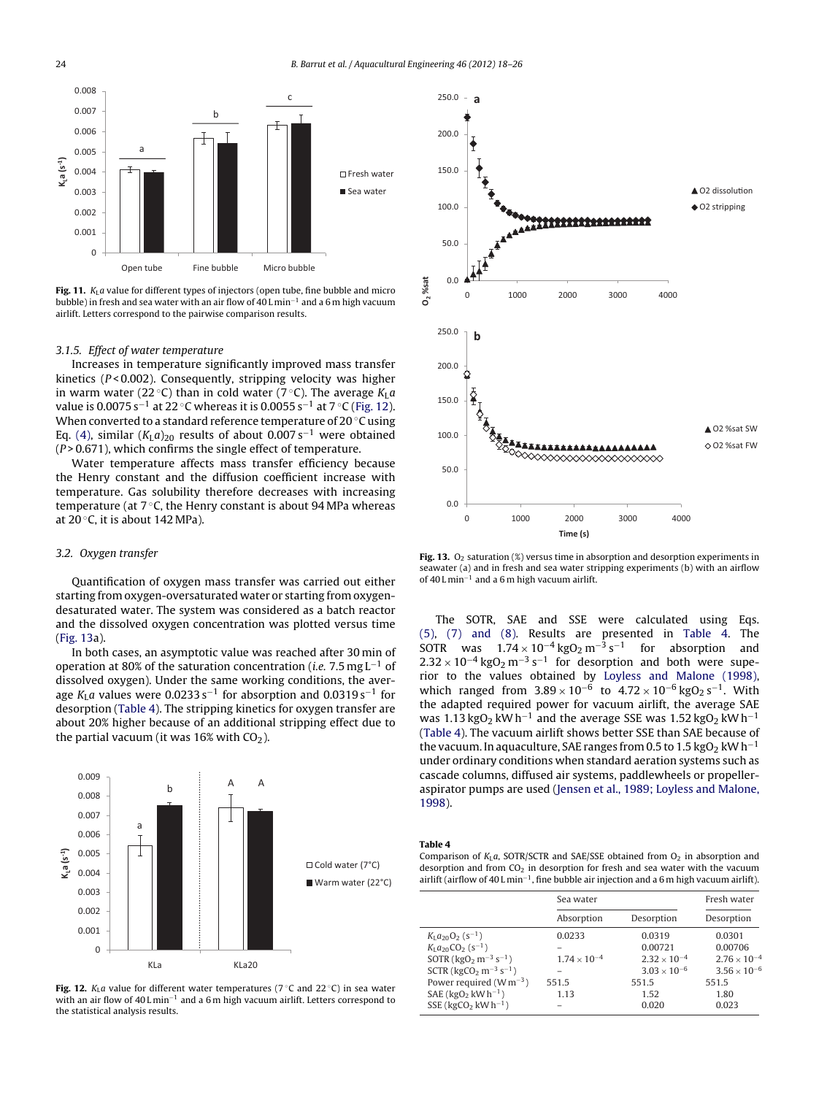<span id="page-6-0"></span>

**Fig. 11.**  $K_{\text{L}}a$  value for different types of injectors (open tube, fine bubble and micro bubble) in fresh and sea water with an air flow of 40 L min−<sup>1</sup> and a 6 m high vacuum airlift. Letters correspond to the pairwise comparison results.

#### 3.1.5. Effect of water temperature

Increases in temperature significantly improved mass transfer kinetics ( $P < 0.002$ ). Consequently, stripping velocity was higher in warm water (22 °C) than in cold water (7 °C). The average  $K_{\text{L}}a$ value is 0.0075 s<sup>-1</sup> at 22 °C whereas it is 0.0055 s<sup>-1</sup> at 7 °C (Fig. 12). When converted to a standard reference temperature of 20 ◦C using Eq. [\(4\),](#page-2-0) similar  $(K<sub>L</sub>a)<sub>20</sub>$  results of about 0.007 s<sup>-1</sup> were obtained  $(P > 0.671)$ , which confirms the single effect of temperature.

Water temperature affects mass transfer efficiency because the Henry constant and the diffusion coefficient increase with temperature. Gas solubility therefore decreases with increasing temperature (at 7 °C, the Henry constant is about 94 MPa whereas at  $20^{\circ}$ C, it is about 142 MPa).

#### 3.2. Oxygen transfer

Quantification of oxygen mass transfer was carried out either starting from oxygen-oversaturated water or starting from oxygendesaturated water. The system was considered as a batch reactor and the dissolved oxygen concentration was plotted versus time (Fig. 13a).

In both cases, an asymptotic value was reached after 30 min of operation at 80% of the saturation concentration (i.e. 7.5 mg L−<sup>1</sup> of dissolved oxygen). Under the same working conditions, the average K<sub>L</sub>a values were 0.0233 s<sup>-1</sup> for absorption and 0.0319 s<sup>-1</sup> for desorption (Table 4). The stripping kinetics for oxygen transfer are about 20% higher because of an additional stripping effect due to the partial vacuum (it was 16% with  $CO<sub>2</sub>$ ).







**Fig. 13.** O<sub>2</sub> saturation (%) versus time in absorption and desorption experiments in seawater (a) and in fresh and sea water stripping experiments (b) with an airflow of 40 L min−<sup>1</sup> and a 6 m high vacuum airlift.

The SOTR, SAE and SSE were calculated using Eqs. [\(5\),](#page-2-0) [\(7\)](#page-2-0) [and](#page-2-0) [\(8\).](#page-2-0) Results are presented in Table 4. The SOTR was  $1.74 \times 10^{-4}$  kgO<sub>2</sub> m<sup>-3</sup> s<sup>-1</sup> for absorption and  $2.32 \times 10^{-4}$  kgO<sub>2</sub> m<sup>-3</sup> s<sup>-1</sup> for desorption and both were superior to the values obtained by [Loyless](#page-8-0) [and](#page-8-0) [Malone](#page-8-0) [\(1998\),](#page-8-0) which ranged from  $3.89 \times 10^{-6}$  to  $4.72 \times 10^{-6}$  kgO<sub>2</sub> s<sup>-1</sup>. With the adapted required power for vacuum airlift, the average SAE was 1.13 kgO<sub>2</sub> kWh<sup>-1</sup> and the average SSE was 1.52 kgO<sub>2</sub> kWh<sup>-1</sup> (Table 4). The vacuum airlift shows better SSE than SAE because of the vacuum. In aquaculture, SAE ranges from 0.5 to 1.5 kgO<sub>2</sub> kW h<sup>-1</sup> under ordinary conditions when standard aeration systems such as cascade columns, diffused air systems, paddlewheels or propelleraspirator pumps are used ([Jensen](#page-8-0) et [al.,](#page-8-0) [1989;](#page-8-0) [Loyless](#page-8-0) [and](#page-8-0) [Malone,](#page-8-0) [1998\).](#page-8-0)

#### **Table 4**

Comparison of  $K_L a$ , SOTR/SCTR and SAE/SSE obtained from  $O_2$  in absorption and desorption and from  $CO<sub>2</sub>$  in desorption for fresh and sea water with the vacuum airlift (airflow of 40 L min−1, fine bubble air injection and a 6 m high vacuum airlift).

|                                    | Sea water             |                       | Fresh water           |  |
|------------------------------------|-----------------------|-----------------------|-----------------------|--|
|                                    | Absorption            | Desorption            | Desorption            |  |
| $K_1a_{20}O_2$ (s <sup>-1</sup> )  | 0.0233                | 0.0319                | 0.0301                |  |
| $K_1a_{20}CO_2$ (s <sup>-1</sup> ) |                       | 0.00721               | 0.00706               |  |
| SOTR ( $kgO2 m-3 s-1$ )            | $1.74 \times 10^{-4}$ | $2.32 \times 10^{-4}$ | $2.76 \times 10^{-4}$ |  |
| SCTR ( $kgCO2 m-3 s-1$ )           |                       | $3.03 \times 10^{-6}$ | $3.56 \times 10^{-6}$ |  |
| Power required ( $W m^{-3}$ )      | 551.5                 | 551.5                 | 551.5                 |  |
| SAE ( $kgO2$ kW h <sup>-1</sup> )  | 1.13                  | 1.52                  | 1.80                  |  |
| SSE ( $kgCO2$ kW h <sup>-1</sup> ) |                       | 0.020                 | 0.023                 |  |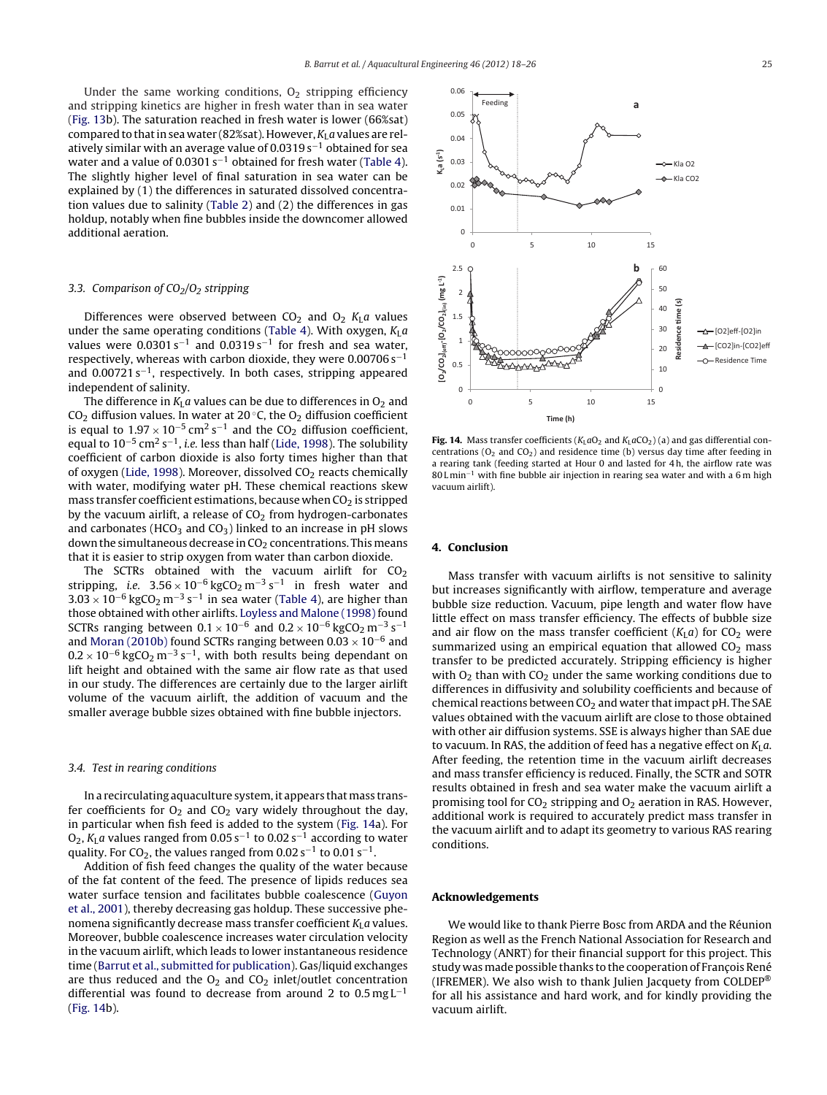Under the same working conditions,  $O<sub>2</sub>$  stripping efficiency and stripping kinetics are higher in fresh water than in sea water (Fig. [13b\)](#page-6-0). The saturation reached in fresh water is lower (66%sat) compared to that in sea water (82%sat). However,  $K<sub>L</sub>a$  values are relatively similar with an average value of 0.0319 s<sup>-1</sup> obtained for sea water and a value of 0.0301 s−<sup>1</sup> obtained for fresh water ([Table](#page-6-0) 4). The slightly higher level of final saturation in sea water can be explained by (1) the differences in saturated dissolved concentration values due to salinity [\(Table](#page-2-0) 2) and (2) the differences in gas holdup, notably when fine bubbles inside the downcomer allowed additional aeration.

#### 3.3. Comparison of  $CO<sub>2</sub>/O<sub>2</sub>$  stripping

Differences were observed between  $CO<sub>2</sub>$  and  $O<sub>2</sub>$  K<sub>L</sub>a values under the same operating conditions [\(Table](#page-6-0) 4). With oxygen,  $K_{\text{L}}a$ values were  $0.0301 s^{-1}$  and  $0.0319 s^{-1}$  for fresh and sea water, respectively, whereas with carbon dioxide, they were  $0.00706 s<sup>-1</sup>$ and 0.00721 s−1, respectively. In both cases, stripping appeared independent of salinity.

The difference in  $K<sub>L</sub>a$  values can be due to differences in  $O<sub>2</sub>$  and CO<sub>2</sub> diffusion values. In water at 20 $\degree$ C, the O<sub>2</sub> diffusion coefficient is equal to  $1.97 \times 10^{-5}$  cm<sup>2</sup> s<sup>-1</sup> and the CO<sub>2</sub> diffusion coefficient, equal to  $10^{-5}$  cm<sup>2</sup> s<sup>-1</sup>, *i.e.* less than half ([Lide,](#page-8-0) [1998\).](#page-8-0) The solubility coefficient of carbon dioxide is also forty times higher than that of oxygen [\(Lide,](#page-8-0) [1998\).](#page-8-0) Moreover, dissolved  $CO<sub>2</sub>$  reacts chemically with water, modifying water pH. These chemical reactions skew mass transfer coefficient estimations, because when  $CO<sub>2</sub>$  is stripped by the vacuum airlift, a release of  $CO<sub>2</sub>$  from hydrogen-carbonates and carbonates (HCO<sub>3</sub> and CO<sub>3</sub>) linked to an increase in pH slows down the simultaneous decrease in  $CO<sub>2</sub>$  concentrations. This means that it is easier to strip oxygen from water than carbon dioxide.

The SCTRs obtained with the vacuum airlift for  $CO<sub>2</sub>$ stripping, i.e.  $3.56 \times 10^{-6}$  kgCO<sub>2</sub> m<sup>-3</sup> s<sup>-1</sup> in fresh water and  $3.03 \times 10^{-6}$  kgCO<sub>2</sub> m<sup>-3</sup> s<sup>-1</sup> in sea water [\(Table](#page-6-0) 4), are higher than those obtained with other airlifts. [Loyless](#page-8-0) [and](#page-8-0) [Malone](#page-8-0) [\(1998\)](#page-8-0) found SCTRs ranging between  $0.1 \times 10^{-6}$  and  $0.2 \times 10^{-6}$  kgCO<sub>2</sub> m<sup>-3</sup> s<sup>-1</sup> and [Moran](#page-8-0) [\(2010b\)](#page-8-0) found SCTRs ranging between 0.03  $\times$  10<sup>-6</sup> and  $0.2 \times 10^{-6}$  kgCO<sub>2</sub> m<sup>-3</sup> s<sup>-1</sup>, with both results being dependant on lift height and obtained with the same air flow rate as that used in our study. The differences are certainly due to the larger airlift volume of the vacuum airlift, the addition of vacuum and the smaller average bubble sizes obtained with fine bubble injectors.

#### 3.4. Test in rearing conditions

In a recirculating aquaculture system, it appears that mass transfer coefficients for  $O_2$  and  $CO_2$  vary widely throughout the day, in particular when fish feed is added to the system (Fig. 14a). For O<sub>2</sub>, K<sub>L</sub>a values ranged from 0.05 s<sup>-1</sup> to 0.02 s<sup>-1</sup> according to water quality. For CO<sub>2</sub>, the values ranged from  $0.02 s^{-1}$  to  $0.01 s^{-1}$ .

Addition of fish feed changes the quality of the water because of the fat content of the feed. The presence of lipids reduces sea water surface tension and facilitates bubble coalescence [\(Guyon](#page-8-0) et [al.,](#page-8-0) [2001\),](#page-8-0) thereby decreasing gas holdup. These successive phenomena significantly decrease mass transfer coefficient  $K<sub>L</sub>a$  values. Moreover, bubble coalescence increases water circulation velocity in the vacuum airlift, which leads to lower instantaneous residence time [\(Barrut](#page-8-0) et [al.,](#page-8-0) [submitted](#page-8-0) [for](#page-8-0) [publication\).](#page-8-0) Gas/liquid exchanges are thus reduced and the  $O_2$  and  $CO_2$  inlet/outlet concentration differential was found to decrease from around 2 to  $0.5 \text{ mg L}^{-1}$ (Fig. 14b).



**Fig. 14.** Mass transfer coefficients ( $K<sub>L</sub>aO<sub>2</sub>$  and  $K<sub>L</sub>aCO<sub>2</sub>$ ) (a) and gas differential concentrations ( $O_2$  and  $CO_2$ ) and residence time (b) versus day time after feeding in a rearing tank (feeding started at Hour 0 and lasted for 4 h, the airflow rate was 80 L min<sup>-1</sup> with fine bubble air injection in rearing sea water and with a 6 m high vacuum airlift).

#### **4. Conclusion**

Mass transfer with vacuum airlifts is not sensitive to salinity but increases significantly with airflow, temperature and average bubble size reduction. Vacuum, pipe length and water flow have little effect on mass transfer efficiency. The effects of bubble size and air flow on the mass transfer coefficient  $(K<sub>L</sub>a)$  for CO<sub>2</sub> were summarized using an empirical equation that allowed  $CO<sub>2</sub>$  mass transfer to be predicted accurately. Stripping efficiency is higher with  $O<sub>2</sub>$  than with CO<sub>2</sub> under the same working conditions due to differences in diffusivity and solubility coefficients and because of chemical reactions between  $CO<sub>2</sub>$  and water that impact pH. The SAE values obtained with the vacuum airlift are close to those obtained with other air diffusion systems. SSE is always higher than SAE due to vacuum. In RAS, the addition of feed has a negative effect on  $K<sub>L</sub>a$ . After feeding, the retention time in the vacuum airlift decreases and mass transfer efficiency is reduced. Finally, the SCTR and SOTR results obtained in fresh and sea water make the vacuum airlift a promising tool for  $CO<sub>2</sub>$  stripping and  $O<sub>2</sub>$  aeration in RAS. However, additional work is required to accurately predict mass transfer in the vacuum airlift and to adapt its geometry to various RAS rearing conditions.

#### **Acknowledgements**

We would like to thank Pierre Bosc from ARDA and the Réunion Region as well as the French National Association for Research and Technology (ANRT) for their financial support for this project. This study was made possible thanks to the cooperation of François René (IFREMER). We also wish to thank Julien Jacquety from COLDEP® for all his assistance and hard work, and for kindly providing the vacuum airlift.